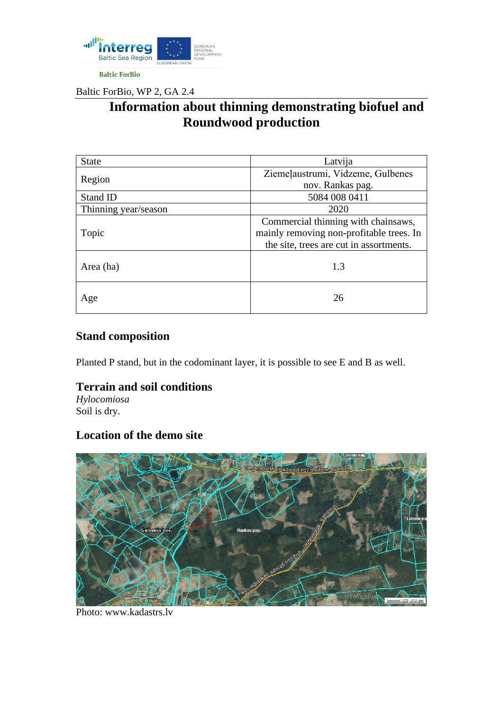

Baltic ForBio, WP 2, GA 2.4

# **Information about thinning demonstrating biofuel and Roundwood production**

| <b>State</b>         | Latvija                                  |
|----------------------|------------------------------------------|
| Region               | Ziemeļaustrumi, Vidzeme, Gulbenes        |
|                      | nov. Rankas pag.                         |
| Stand ID             | 5084 008 0411                            |
| Thinning year/season | 2020                                     |
| Topic                | Commercial thinning with chainsaws,      |
|                      | mainly removing non-profitable trees. In |
|                      | the site, trees are cut in assortments.  |
|                      |                                          |
| Area (ha)            | 1.3                                      |
|                      |                                          |
| Age                  | 26                                       |
|                      |                                          |

## **Stand composition**

Planted P stand, but in the codominant layer, it is possible to see E and B as well.

#### **Terrain and soil conditions**

*Hylocomiosa* Soil is dry.

### **Location of the demo site**



Photo: [www.kadastrs.lv](http://www.kadastrs.lv/)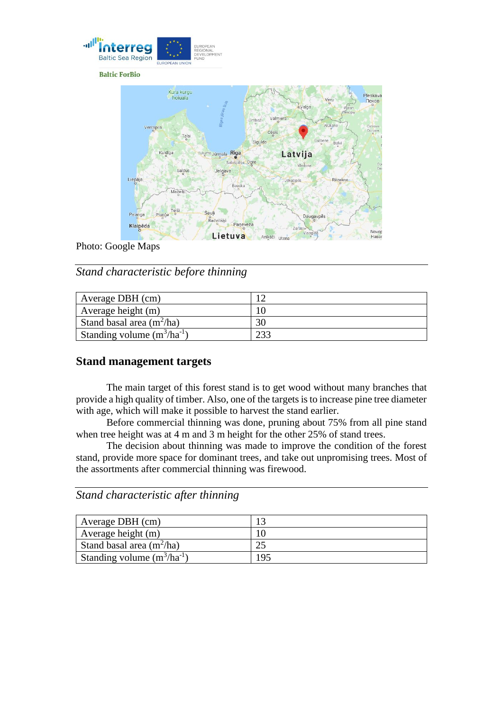

**Baltic ForBio** 



Photo: Google Maps

*Stand characteristic before thinning*

| Average DBH (cm)                |  |
|---------------------------------|--|
| Average height $(m)$            |  |
| Stand basal area $(m^2/ha)$     |  |
| Standing volume $(m^3/ha^{-1})$ |  |

#### **Stand management targets**

The main target of this forest stand is to get wood without many branches that provide a high quality of timber. Also, one of the targets is to increase pine tree diameter with age, which will make it possible to harvest the stand earlier.

Before commercial thinning was done, pruning about 75% from all pine stand when tree height was at 4 m and 3 m height for the other 25% of stand trees.

The decision about thinning was made to improve the condition of the forest stand, provide more space for dominant trees, and take out unpromising trees. Most of the assortments after commercial thinning was firewood.

*Stand characteristic after thinning*

| Average DBH (cm)                |     |
|---------------------------------|-----|
| Average height (m)              |     |
| Stand basal area $(m^2/ha)$     |     |
| Standing volume $(m^3/ha^{-1})$ | 195 |